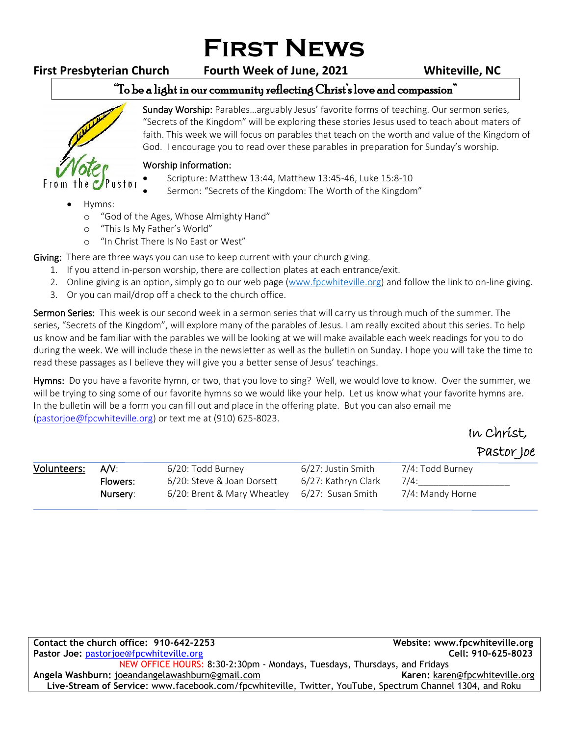# **First News**

**First Presbyterian Church Fourth Week of June, 2021 Whiteville, NC**

## "To be a light in our community reflecting Christ's love and compassion"



Sunday Worship: Parables…arguably Jesus' favorite forms of teaching. Our sermon series, "Secrets of the Kingdom" will be exploring these stories Jesus used to teach about maters of faith. This week we will focus on parables that teach on the worth and value of the Kingdom of God. I encourage you to read over these parables in preparation for Sunday's worship. ֺ֝

### Worship information:

- Scripture: Matthew 13:44, Matthew 13:45-46, Luke 15:8-10
- Sermon: "Secrets of the Kingdom: The Worth of the Kingdom"
- Hymns:
	- o "God of the Ages, Whose Almighty Hand"
	- o "This Is My Father's World"
	- o "In Christ There Is No East or West"

Giving: There are three ways you can use to keep current with your church giving.

- 1. If you attend in-person worship, there are collection plates at each entrance/exit.
- 2. Online giving is an option, simply go to our web page [\(www.fpcwhiteville.org](http://www.fpcwhiteville.ort/)) and follow the link to on-line giving.
- 3. Or you can mail/drop off a check to the church office.

Sermon Series: This week is our second week in a sermon series that will carry us through much of the summer. The series, "Secrets of the Kingdom", will explore many of the parables of Jesus. I am really excited about this series. To help us know and be familiar with the parables we will be looking at we will make available each week readings for you to do during the week. We will include these in the newsletter as well as the bulletin on Sunday. I hope you will take the time to read these passages as I believe they will give you a better sense of Jesus' teachings.

Hymns: Do you have a favorite hymn, or two, that you love to sing? Well, we would love to know. Over the summer, we will be trying to sing some of our favorite hymns so we would like your help. Let us know what your favorite hymns are. In the bulletin will be a form you can fill out and place in the offering plate. But you can also email me [\(pastorjoe@fpcwhiteville.org\)](pastorjoe@fpcwhiteville.org) or text me at (910) 625-8023.

## In Christ, Pastor Joe

| Volunteers: | $\mathsf{A} \mathsf{N}$ : | 6/20: Todd Burney                             | 6/27: Justin Smith  | 7/4: Todd Burney |  |
|-------------|---------------------------|-----------------------------------------------|---------------------|------------------|--|
|             | Flowers:                  | 6/20: Steve & Joan Dorsett                    | 6/27: Kathryn Clark | 7/4:             |  |
|             | Nursery:                  | 6/20: Brent & Mary Wheatley 6/27: Susan Smith |                     | 7/4: Mandy Horne |  |
|             |                           |                                               |                     |                  |  |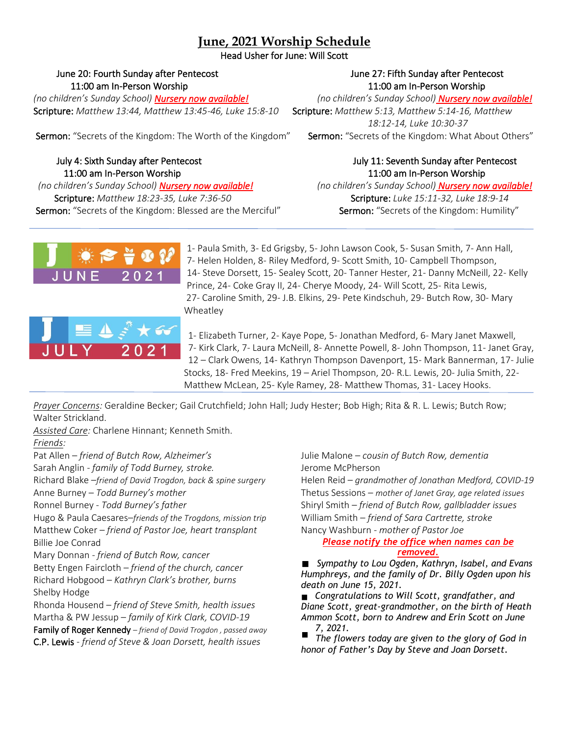### **June, 2021 Worship Schedule**

Head Usher for June: Will Scott

### June 20: Fourth Sunday after Pentecost June 27: Fifth Sunday after Pentecost 11:00 am In-Person Worship 11:00 am In-Person Worship

*(no children's Sunday School) Nursery now available! (no children's Sunday School) Nursery now available!* Scripture: *Matthew 13:44, Matthew 13:45-46, Luke 15:8-10* Scripture: *Matthew 5:13, Matthew 5:14-16, Matthew* 

Sermon: "Secrets of the Kingdom: The Worth of the Kingdom" Sermon: "Secrets of the Kingdom: What About Others"

# 11:00 am In-Person Worship 11:00 am In-Person Worship

 *(no children's Sunday School) Nursery now available! (no children's Sunday School) Nursery now available!* Scripture: *Matthew 18:23-35, Luke 7:36-50* Scripture: *Luke 15:11-32, Luke 18:9-14*

*18:12-14, Luke 10:30-37*

# July 4: Sixth Sunday after Pentecost July 11: Seventh Sunday after Pentecost

Sermon: "Secrets of the Kingdom: Blessed are the Merciful" Sermon: "Secrets of the Kingdom: Humility"



1- Paula Smith, 3- Ed Grigsby, 5- John Lawson Cook, 5- Susan Smith, 7- Ann Hall, 7- Helen Holden, 8- Riley Medford, 9- Scott Smith, 10- Campbell Thompson, 14- Steve Dorsett, 15- Sealey Scott, 20- Tanner Hester, 21- Danny McNeill, 22- Kelly Prince, 24- Coke Gray II, 24- Cherye Moody, 24- Will Scott, 25- Rita Lewis, 27- Caroline Smith, 29- J.B. Elkins, 29- Pete Kindschuh, 29- Butch Row, 30- Mary Wheatley



1- Elizabeth Turner, 2- Kaye Pope, 5- Jonathan Medford, 6- Mary Janet Maxwell, 7- Kirk Clark, 7- Laura McNeill, 8- Annette Powell, 8- John Thompson, 11- Janet Gray, 12 – Clark Owens, 14- Kathryn Thompson Davenport, 15- Mark Bannerman, 17- Julie Stocks, 18- Fred Meekins, 19 – Ariel Thompson, 20- R.L. Lewis, 20- Julia Smith, 22- Matthew McLean, 25- Kyle Ramey, 28- Matthew Thomas, 31- Lacey Hooks.

*Prayer Concerns:* Geraldine Becker; Gail Crutchfield; John Hall; Judy Hester; Bob High; Rita & R. L. Lewis; Butch Row; Walter Strickland.

*Assisted Care:* Charlene Hinnant; Kenneth Smith.

*Friends:*

Pat Allen – *friend of Butch Row, Alzheimer's* 

Sarah Anglin - *family of Todd Burney, stroke.*

Richard Blake –*friend of David Trogdon, back & spine surgery*

Anne Burney – *Todd Burney's mother*

Ronnel Burney - *Todd Burney's father* Hugo & Paula Caesares–*friends of the Trogdons, mission trip* Matthew Coker – *friend of Pastor Joe, heart transplant* Billie Joe Conrad

Mary Donnan - *friend of Butch Row, cancer*

Betty Engen Faircloth *– friend of the church, cancer* Richard Hobgood – *Kathryn Clark's brother, burns* Shelby Hodge

Rhonda Housend – *friend of Steve Smith, health issues* Martha & PW Jessup – *family of Kirk Clark, COVID-19* Family of Roger Kennedy – *friend of David Trogdon , passed away*

C.P. Lewis - *friend of Steve & Joan Dorsett, health issues*

Julie Malone – *cousin of Butch Row, dementia* Jerome McPherson

Helen Reid – *grandmother of Jonathan Medford, COVID-19* Thetus Sessions – *mother of Janet Gray, age related issues* Shiryl Smith – *friend of Butch Row, gallbladder issues* William Smith – *friend of Sara Cartrette, stroke* Nancy Washburn - *mother of Pastor Joe*

#### *Please notify the office when names can be removed.*

*Sympathy to Lou Ogden, Kathryn, Isabel, and Evans Humphreys, and the family of Dr. Billy Ogden upon his death on June 15, 2021.*

*Congratulations to Will Scott, grandfather, and Diane Scott, great-grandmother, on the birth of Heath Ammon Scott, born to Andrew and Erin Scott on June 7, 2021.*

*The flowers today are given to the glory of God in honor of Father's Day by Steve and Joan Dorsett.*